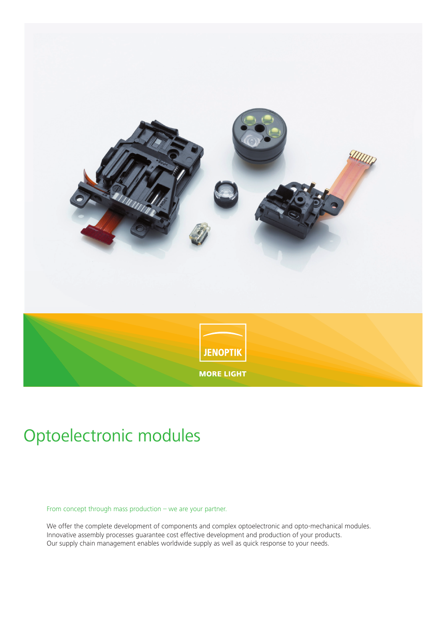

# Optoelectronic modules

#### From concept through mass production – we are your partner.

We offer the complete development of components and complex optoelectronic and opto-mechanical modules. Innovative assembly processes guarantee cost effective development and production of your products. Our supply chain management enables worldwide supply as well as quick response to your needs.